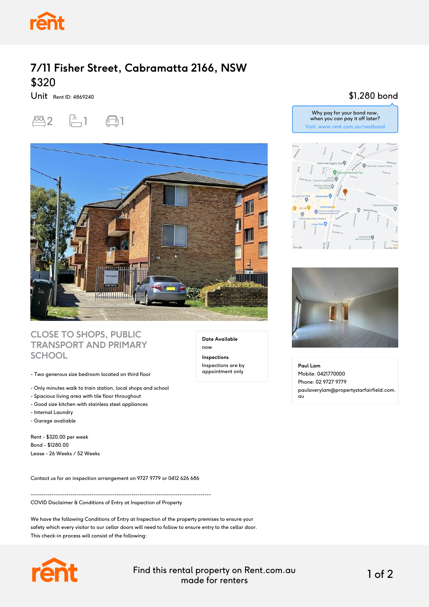

## **7/11 Fisher Street, Cabramatta 2166, NSW** \$320

Unit Rent ID: 4869240





#### **CLOSE TO SHOPS, PUBLIC TRANSPORT AND PRIMARY SCHOOL**

- Two generous size bedroom located on third floor
- Only minutes walk to train station, local shops and school
- Spacious living area with tile floor throughout
- Good size kitchen with stainless steel appliances
- Internal Laundry
- Garage avaliable

Rent - \$320.00 per week Bond - \$1280.00 Lease - 26 Weeks / 52 Weeks

Contact us for an inspection arrangement on 9727 9779 or 0412 626 686

--------------------------------------------------------------------------------------

COVID Disclaimer & Conditions of Entry at Inspection of Property

We have the following Conditions of Entry at Inspection of the property premises to ensure your safety which every visitor to our cellar doors will need to follow to ensure entry to the cellar door. This check-in process will consist of the following:



Find this rental property on Rent.com.au made for renters 1 of 2

**Date Available**

now **Inspections** Inspections are by appointment only

#### \$1,280 bond





**Paul Lam** Mobile: 0421770000 Phone: 02 9727 9779 paulaverylam@propertystarfairfield.com. au